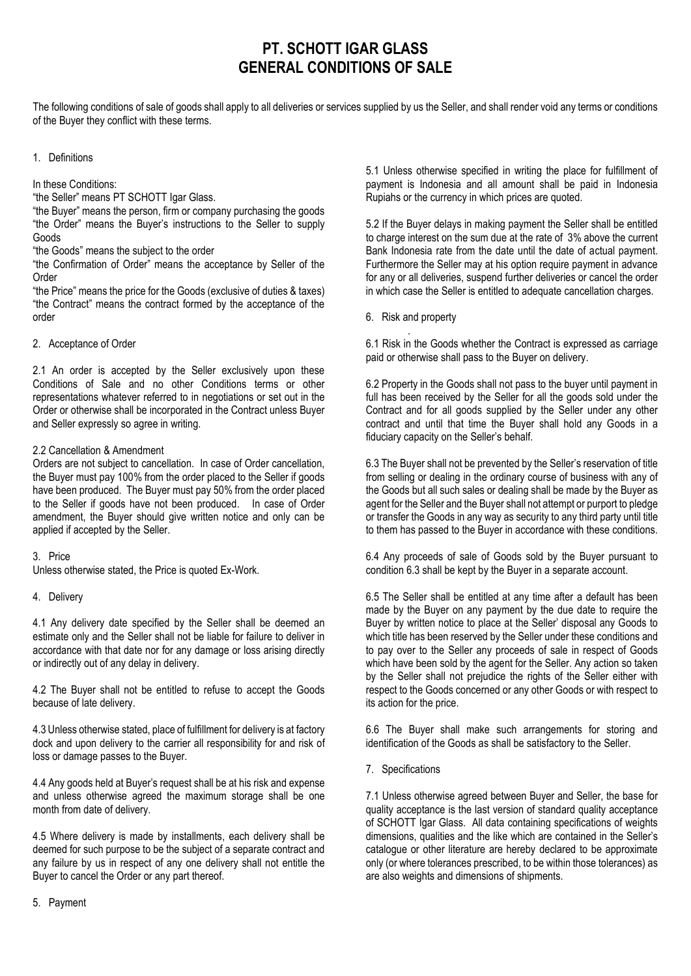# **PT. SCHOTT IGAR GLASS GENERAL CONDITIONS OF SALE**

The following conditions of sale of goods shall apply to all deliveries or services supplied by us the Seller, and shall render void any terms or conditions of the Buyer they conflict with these terms.

#### 1. Definitions

In these Conditions:

"the Seller" means PT SCHOTT Igar Glass.

"the Buyer" means the person, firm or company purchasing the goods "the Order" means the Buyer's instructions to the Seller to supply Goods

"the Goods" means the subject to the order

"the Confirmation of Order" means the acceptance by Seller of the Order

"the Price" means the price for the Goods (exclusive of duties & taxes) "the Contract" means the contract formed by the acceptance of the order

2. Acceptance of Order

2.1 An order is accepted by the Seller exclusively upon these Conditions of Sale and no other Conditions terms or other representations whatever referred to in negotiations or set out in the Order or otherwise shall be incorporated in the Contract unless Buyer and Seller expressly so agree in writing.

### 2.2 Cancellation & Amendment

Orders are not subject to cancellation. In case of Order cancellation, the Buyer must pay 100% from the order placed to the Seller if goods have been produced. The Buyer must pay 50% from the order placed to the Seller if goods have not been produced. In case of Order amendment, the Buyer should give written notice and only can be applied if accepted by the Seller.

#### 3. Price

Unless otherwise stated, the Price is quoted Ex-Work.

4. Delivery

4.1 Any delivery date specified by the Seller shall be deemed an estimate only and the Seller shall not be liable for failure to deliver in accordance with that date nor for any damage or loss arising directly or indirectly out of any delay in delivery.

4.2 The Buyer shall not be entitled to refuse to accept the Goods because of late delivery.

4.3 Unless otherwise stated, place of fulfillment for delivery is at factory dock and upon delivery to the carrier all responsibility for and risk of loss or damage passes to the Buyer.

4.4 Any goods held at Buyer's request shall be at his risk and expense and unless otherwise agreed the maximum storage shall be one month from date of delivery.

4.5 Where delivery is made by installments, each delivery shall be deemed for such purpose to be the subject of a separate contract and any failure by us in respect of any one delivery shall not entitle the Buyer to cancel the Order or any part thereof.

5.1 Unless otherwise specified in writing the place for fulfillment of payment is Indonesia and all amount shall be paid in Indonesia Rupiahs or the currency in which prices are quoted.

5.2 If the Buyer delays in making payment the Seller shall be entitled to charge interest on the sum due at the rate of 3% above the current Bank Indonesia rate from the date until the date of actual payment. Furthermore the Seller may at his option require payment in advance for any or all deliveries, suspend further deliveries or cancel the order in which case the Seller is entitled to adequate cancellation charges.

6. Risk and property

. 6.1 Risk in the Goods whether the Contract is expressed as carriage paid or otherwise shall pass to the Buyer on delivery.

6.2 Property in the Goods shall not pass to the buyer until payment in full has been received by the Seller for all the goods sold under the Contract and for all goods supplied by the Seller under any other contract and until that time the Buyer shall hold any Goods in a fiduciary capacity on the Seller's behalf.

6.3 The Buyer shall not be prevented by the Seller's reservation of title from selling or dealing in the ordinary course of business with any of the Goods but all such sales or dealing shall be made by the Buyer as agent for the Seller and the Buyer shall not attempt or purport to pledge or transfer the Goods in any way as security to any third party until title to them has passed to the Buyer in accordance with these conditions.

6.4 Any proceeds of sale of Goods sold by the Buyer pursuant to condition 6.3 shall be kept by the Buyer in a separate account.

6.5 The Seller shall be entitled at any time after a default has been made by the Buyer on any payment by the due date to require the Buyer by written notice to place at the Seller' disposal any Goods to which title has been reserved by the Seller under these conditions and to pay over to the Seller any proceeds of sale in respect of Goods which have been sold by the agent for the Seller. Any action so taken by the Seller shall not prejudice the rights of the Seller either with respect to the Goods concerned or any other Goods or with respect to its action for the price.

6.6 The Buyer shall make such arrangements for storing and identification of the Goods as shall be satisfactory to the Seller.

7. Specifications

7.1 Unless otherwise agreed between Buyer and Seller, the base for quality acceptance is the last version of standard quality acceptance of SCHOTT Igar Glass. All data containing specifications of weights dimensions, qualities and the like which are contained in the Seller's catalogue or other literature are hereby declared to be approximate only (or where tolerances prescribed, to be within those tolerances) as are also weights and dimensions of shipments.

5. Payment